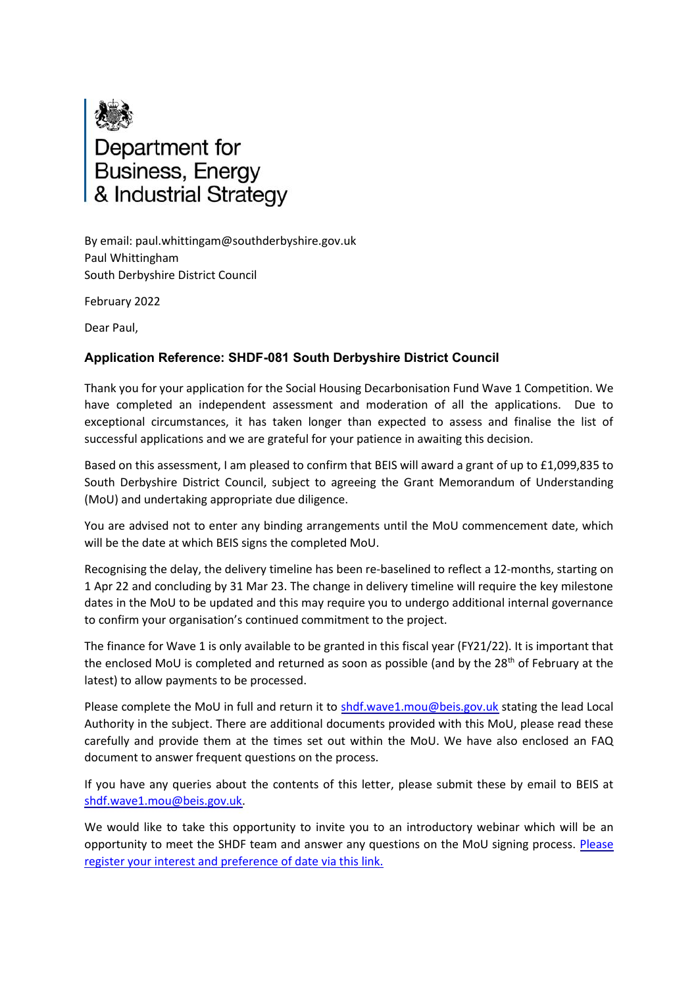

By email: paul.whittingam@southderbyshire.gov.uk Paul Whittingham South Derbyshire District Council

February 2022

Dear Paul,

## **Application Reference: SHDF-081 South Derbyshire District Council**

Thank you for your application for the Social Housing Decarbonisation Fund Wave 1 Competition. We have completed an independent assessment and moderation of all the applications. Due to exceptional circumstances, it has taken longer than expected to assess and finalise the list of successful applications and we are grateful for your patience in awaiting this decision.

Based on this assessment, I am pleased to confirm that BEIS will award a grant of up to £1,099,835 to South Derbyshire District Council, subject to agreeing the Grant Memorandum of Understanding (MoU) and undertaking appropriate due diligence.

You are advised not to enter any binding arrangements until the MoU commencement date, which will be the date at which BEIS signs the completed MoU.

Recognising the delay, the delivery timeline has been re-baselined to reflect a 12-months, starting on 1 Apr 22 and concluding by 31 Mar 23. The change in delivery timeline will require the key milestone dates in the MoU to be updated and this may require you to undergo additional internal governance to confirm your organisation's continued commitment to the project.

The finance for Wave 1 is only available to be granted in this fiscal year (FY21/22). It is important that the enclosed MoU is completed and returned as soon as possible (and by the 28<sup>th</sup> of February at the latest) to allow payments to be processed.

Please complete the MoU in full and return it to [shdf.wave1.mou@beis.gov.uk](mailto:shdf.wave1.mou@beis.gov.uk) stating the lead Local Authority in the subject. There are additional documents provided with this MoU, please read these carefully and provide them at the times set out within the MoU. We have also enclosed an FAQ document to answer frequent questions on the process.

If you have any queries about the contents of this letter, please submit these by email to BEIS at [shdf.wave1.mou@beis.gov.uk.](mailto:shdf.wave1.mou@beis.gov.uk)

We would like to take this opportunity to invite you to an introductory webinar which will be an opportunity to meet the SHDF team and answer any questions on the MoU signing process. [Please](https://forms.office.com/Pages/ResponsePage.aspx?id=BXCsy8EC60O0l-ZJLRst2P-08J6TOYVPnQfQVJMC_hdUOVdKTk5SMzcyWDNNTkhaMlBJSTlZTUxQRS4u) [register your interest and preference of date via this link.](https://forms.office.com/Pages/ResponsePage.aspx?id=BXCsy8EC60O0l-ZJLRst2P-08J6TOYVPnQfQVJMC_hdUOVdKTk5SMzcyWDNNTkhaMlBJSTlZTUxQRS4u)